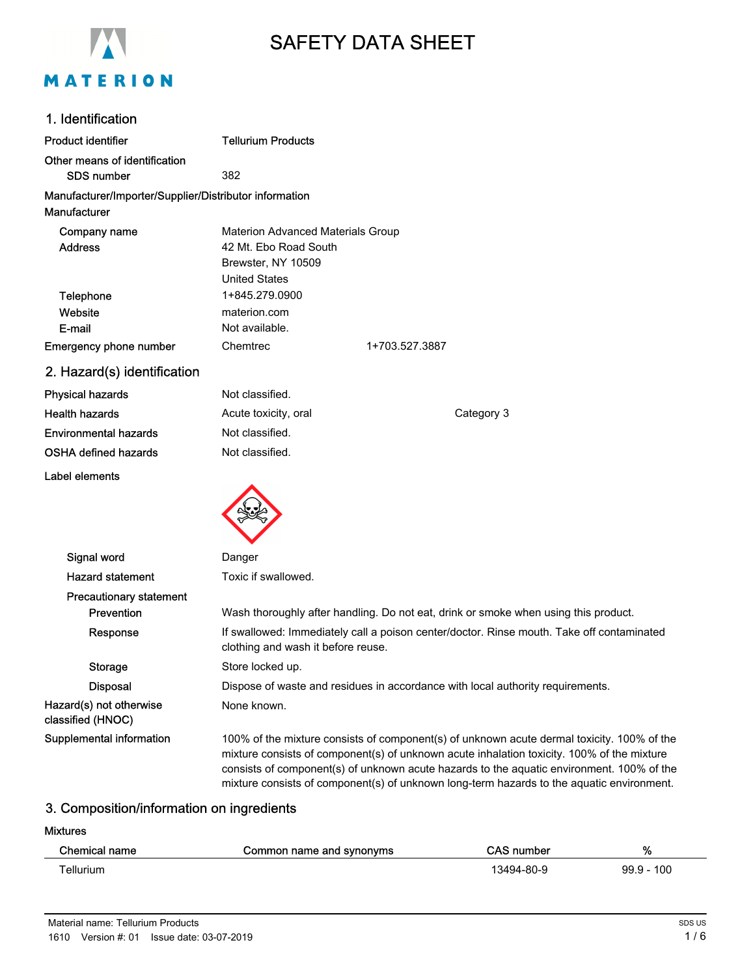

# SAFETY DATA SHEET

| 1. Identification                                                      |                                                                                                                                                                                                                                                                                                                                                                                    |                |  |
|------------------------------------------------------------------------|------------------------------------------------------------------------------------------------------------------------------------------------------------------------------------------------------------------------------------------------------------------------------------------------------------------------------------------------------------------------------------|----------------|--|
| <b>Product identifier</b>                                              | <b>Tellurium Products</b>                                                                                                                                                                                                                                                                                                                                                          |                |  |
| Other means of identification                                          |                                                                                                                                                                                                                                                                                                                                                                                    |                |  |
| <b>SDS number</b>                                                      | 382                                                                                                                                                                                                                                                                                                                                                                                |                |  |
| Manufacturer/Importer/Supplier/Distributor information<br>Manufacturer |                                                                                                                                                                                                                                                                                                                                                                                    |                |  |
| Company name                                                           | <b>Materion Advanced Materials Group</b>                                                                                                                                                                                                                                                                                                                                           |                |  |
| <b>Address</b>                                                         | 42 Mt. Ebo Road South                                                                                                                                                                                                                                                                                                                                                              |                |  |
|                                                                        | Brewster, NY 10509                                                                                                                                                                                                                                                                                                                                                                 |                |  |
|                                                                        | <b>United States</b>                                                                                                                                                                                                                                                                                                                                                               |                |  |
| Telephone                                                              | 1+845.279.0900                                                                                                                                                                                                                                                                                                                                                                     |                |  |
| Website                                                                | materion.com                                                                                                                                                                                                                                                                                                                                                                       |                |  |
| E-mail                                                                 | Not available.                                                                                                                                                                                                                                                                                                                                                                     |                |  |
| <b>Emergency phone number</b>                                          | Chemtrec                                                                                                                                                                                                                                                                                                                                                                           | 1+703.527.3887 |  |
| 2. Hazard(s) identification                                            |                                                                                                                                                                                                                                                                                                                                                                                    |                |  |
| <b>Physical hazards</b>                                                | Not classified.                                                                                                                                                                                                                                                                                                                                                                    |                |  |
| <b>Health hazards</b>                                                  | Acute toxicity, oral                                                                                                                                                                                                                                                                                                                                                               | Category 3     |  |
| <b>Environmental hazards</b>                                           | Not classified.                                                                                                                                                                                                                                                                                                                                                                    |                |  |
| OSHA defined hazards                                                   | Not classified.                                                                                                                                                                                                                                                                                                                                                                    |                |  |
| Label elements                                                         |                                                                                                                                                                                                                                                                                                                                                                                    |                |  |
|                                                                        |                                                                                                                                                                                                                                                                                                                                                                                    |                |  |
|                                                                        |                                                                                                                                                                                                                                                                                                                                                                                    |                |  |
| Signal word                                                            | Danger                                                                                                                                                                                                                                                                                                                                                                             |                |  |
| <b>Hazard statement</b>                                                | Toxic if swallowed.                                                                                                                                                                                                                                                                                                                                                                |                |  |
| <b>Precautionary statement</b>                                         |                                                                                                                                                                                                                                                                                                                                                                                    |                |  |
| Prevention                                                             | Wash thoroughly after handling. Do not eat, drink or smoke when using this product.                                                                                                                                                                                                                                                                                                |                |  |
| Response                                                               | If swallowed: Immediately call a poison center/doctor. Rinse mouth. Take off contaminated<br>clothing and wash it before reuse.                                                                                                                                                                                                                                                    |                |  |
| <b>Storage</b>                                                         | Store locked up.                                                                                                                                                                                                                                                                                                                                                                   |                |  |
| <b>Disposal</b>                                                        | Dispose of waste and residues in accordance with local authority requirements.                                                                                                                                                                                                                                                                                                     |                |  |
| Hazard(s) not otherwise<br>classified (HNOC)                           | None known.                                                                                                                                                                                                                                                                                                                                                                        |                |  |
| Supplemental information                                               | 100% of the mixture consists of component(s) of unknown acute dermal toxicity. 100% of the<br>mixture consists of component(s) of unknown acute inhalation toxicity. 100% of the mixture<br>consists of component(s) of unknown acute hazards to the aquatic environment. 100% of the<br>mixture consists of component(s) of unknown long-term hazards to the aquatic environment. |                |  |

# 3. Composition/information on ingredients

#### Mixtures

| Chemical name | Common name and synonyms | <b>CAS number</b> | %            |
|---------------|--------------------------|-------------------|--------------|
| Tellurium     |                          | 13494-80-9        | $99.9 - 100$ |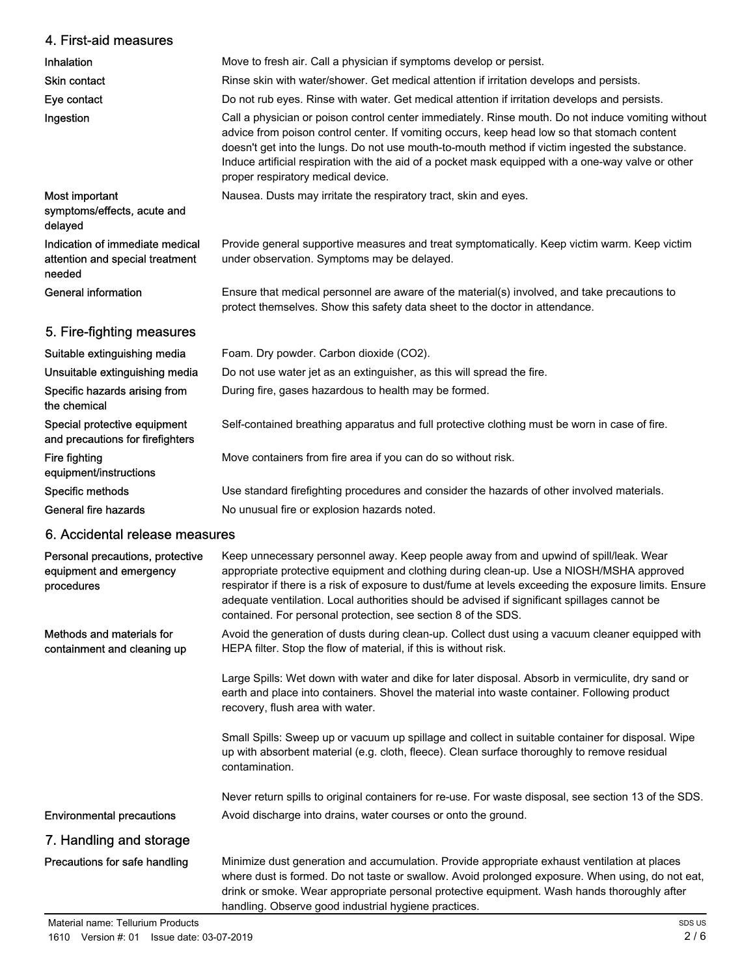| 4. First-aid measures                                                        |                                                                                                                                                                                                                                                                                                                                                                                                                                                              |
|------------------------------------------------------------------------------|--------------------------------------------------------------------------------------------------------------------------------------------------------------------------------------------------------------------------------------------------------------------------------------------------------------------------------------------------------------------------------------------------------------------------------------------------------------|
| Inhalation                                                                   | Move to fresh air. Call a physician if symptoms develop or persist.                                                                                                                                                                                                                                                                                                                                                                                          |
| Skin contact                                                                 | Rinse skin with water/shower. Get medical attention if irritation develops and persists.                                                                                                                                                                                                                                                                                                                                                                     |
| Eye contact                                                                  | Do not rub eyes. Rinse with water. Get medical attention if irritation develops and persists.                                                                                                                                                                                                                                                                                                                                                                |
| Ingestion                                                                    | Call a physician or poison control center immediately. Rinse mouth. Do not induce vomiting without<br>advice from poison control center. If vomiting occurs, keep head low so that stomach content<br>doesn't get into the lungs. Do not use mouth-to-mouth method if victim ingested the substance.<br>Induce artificial respiration with the aid of a pocket mask equipped with a one-way valve or other<br>proper respiratory medical device.             |
| Most important<br>symptoms/effects, acute and<br>delayed                     | Nausea. Dusts may irritate the respiratory tract, skin and eyes.                                                                                                                                                                                                                                                                                                                                                                                             |
| Indication of immediate medical<br>attention and special treatment<br>needed | Provide general supportive measures and treat symptomatically. Keep victim warm. Keep victim<br>under observation. Symptoms may be delayed.                                                                                                                                                                                                                                                                                                                  |
| <b>General information</b>                                                   | Ensure that medical personnel are aware of the material(s) involved, and take precautions to<br>protect themselves. Show this safety data sheet to the doctor in attendance.                                                                                                                                                                                                                                                                                 |
| 5. Fire-fighting measures                                                    |                                                                                                                                                                                                                                                                                                                                                                                                                                                              |
| Suitable extinguishing media                                                 | Foam. Dry powder. Carbon dioxide (CO2).                                                                                                                                                                                                                                                                                                                                                                                                                      |
| Unsuitable extinguishing media                                               | Do not use water jet as an extinguisher, as this will spread the fire.                                                                                                                                                                                                                                                                                                                                                                                       |
| Specific hazards arising from<br>the chemical                                | During fire, gases hazardous to health may be formed.                                                                                                                                                                                                                                                                                                                                                                                                        |
| Special protective equipment<br>and precautions for firefighters             | Self-contained breathing apparatus and full protective clothing must be worn in case of fire.                                                                                                                                                                                                                                                                                                                                                                |
| Fire fighting<br>equipment/instructions                                      | Move containers from fire area if you can do so without risk.                                                                                                                                                                                                                                                                                                                                                                                                |
| Specific methods                                                             | Use standard firefighting procedures and consider the hazards of other involved materials.                                                                                                                                                                                                                                                                                                                                                                   |
| <b>General fire hazards</b>                                                  | No unusual fire or explosion hazards noted.                                                                                                                                                                                                                                                                                                                                                                                                                  |
| 6. Accidental release measures                                               |                                                                                                                                                                                                                                                                                                                                                                                                                                                              |
| Personal precautions, protective<br>equipment and emergency<br>procedures    | Keep unnecessary personnel away. Keep people away from and upwind of spill/leak. Wear<br>appropriate protective equipment and clothing during clean-up. Use a NIOSH/MSHA approved<br>respirator if there is a risk of exposure to dust/fume at levels exceeding the exposure limits. Ensure<br>adequate ventilation. Local authorities should be advised if significant spillages cannot be<br>contained. For personal protection, see section 8 of the SDS. |
| Methods and materials for<br>containment and cleaning up                     | Avoid the generation of dusts during clean-up. Collect dust using a vacuum cleaner equipped with<br>HEPA filter. Stop the flow of material, if this is without risk.                                                                                                                                                                                                                                                                                         |
|                                                                              | Large Spills: Wet down with water and dike for later disposal. Absorb in vermiculite, dry sand or<br>earth and place into containers. Shovel the material into waste container. Following product<br>recovery, flush area with water.                                                                                                                                                                                                                        |
|                                                                              | Small Spills: Sweep up or vacuum up spillage and collect in suitable container for disposal. Wipe<br>up with absorbent material (e.g. cloth, fleece). Clean surface thoroughly to remove residual<br>contamination.                                                                                                                                                                                                                                          |
|                                                                              | Never return spills to original containers for re-use. For waste disposal, see section 13 of the SDS.                                                                                                                                                                                                                                                                                                                                                        |
| <b>Environmental precautions</b>                                             | Avoid discharge into drains, water courses or onto the ground.                                                                                                                                                                                                                                                                                                                                                                                               |
| 7. Handling and storage                                                      |                                                                                                                                                                                                                                                                                                                                                                                                                                                              |
| Precautions for safe handling                                                | Minimize dust generation and accumulation. Provide appropriate exhaust ventilation at places<br>where dust is formed. Do not taste or swallow. Avoid prolonged exposure. When using, do not eat,<br>drink or smoke. Wear appropriate personal protective equipment. Wash hands thoroughly after<br>handling. Observe good industrial hygiene practices.                                                                                                      |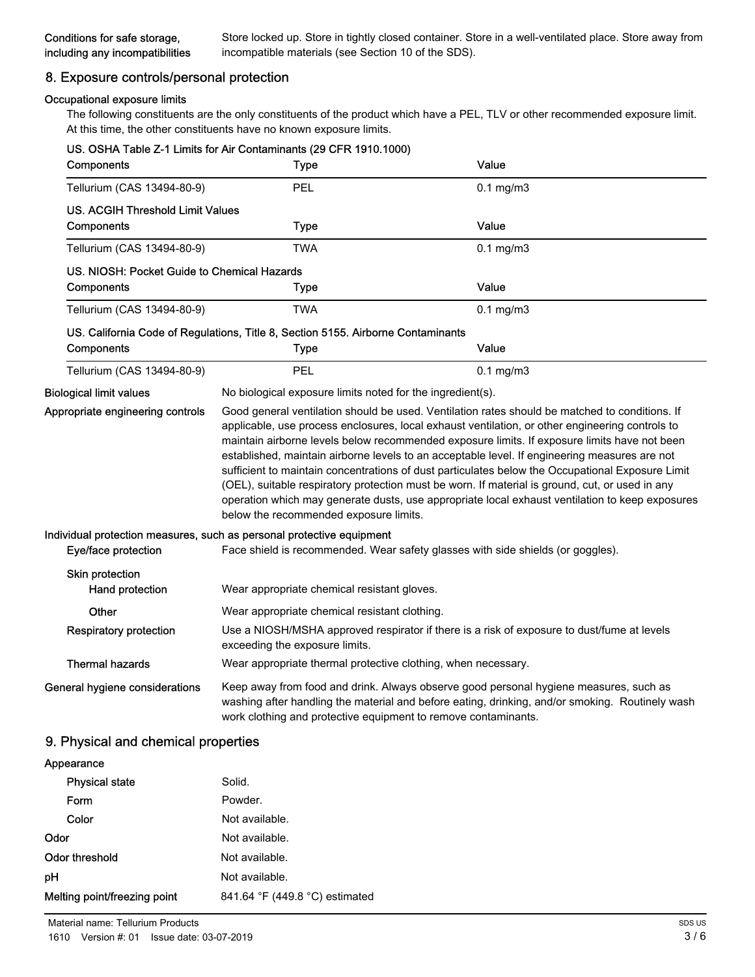# 8. Exposure controls/personal protection

#### Occupational exposure limits

The following constituents are the only constituents of the product which have a PEL, TLV or other recommended exposure limit. At this time, the other constituents have no known exposure limits.

| Components                                  | US. OSHA Table Z-1 Limits for Air Contaminants (29 CFR 1910.1000)<br><b>Type</b> | Value                                                                                                                                                                                                                                                                                                                                                                                                                                                                                                                                                                                                                                                                                                        |
|---------------------------------------------|----------------------------------------------------------------------------------|--------------------------------------------------------------------------------------------------------------------------------------------------------------------------------------------------------------------------------------------------------------------------------------------------------------------------------------------------------------------------------------------------------------------------------------------------------------------------------------------------------------------------------------------------------------------------------------------------------------------------------------------------------------------------------------------------------------|
| Tellurium (CAS 13494-80-9)                  | PEL                                                                              | $0.1$ mg/m $3$                                                                                                                                                                                                                                                                                                                                                                                                                                                                                                                                                                                                                                                                                               |
| <b>US. ACGIH Threshold Limit Values</b>     |                                                                                  |                                                                                                                                                                                                                                                                                                                                                                                                                                                                                                                                                                                                                                                                                                              |
| Components                                  | <b>Type</b>                                                                      | Value                                                                                                                                                                                                                                                                                                                                                                                                                                                                                                                                                                                                                                                                                                        |
| Tellurium (CAS 13494-80-9)                  | <b>TWA</b>                                                                       | $0.1$ mg/m $3$                                                                                                                                                                                                                                                                                                                                                                                                                                                                                                                                                                                                                                                                                               |
| US, NIOSH: Pocket Guide to Chemical Hazards |                                                                                  |                                                                                                                                                                                                                                                                                                                                                                                                                                                                                                                                                                                                                                                                                                              |
| Components                                  | Type                                                                             | Value                                                                                                                                                                                                                                                                                                                                                                                                                                                                                                                                                                                                                                                                                                        |
| Tellurium (CAS 13494-80-9)                  | TWA                                                                              | $0.1$ mg/m $3$                                                                                                                                                                                                                                                                                                                                                                                                                                                                                                                                                                                                                                                                                               |
|                                             | US. California Code of Regulations, Title 8, Section 5155. Airborne Contaminants |                                                                                                                                                                                                                                                                                                                                                                                                                                                                                                                                                                                                                                                                                                              |
| Components                                  | <b>Type</b>                                                                      | Value                                                                                                                                                                                                                                                                                                                                                                                                                                                                                                                                                                                                                                                                                                        |
| Tellurium (CAS 13494-80-9)                  | PEL                                                                              | $0.1$ mg/m $3$                                                                                                                                                                                                                                                                                                                                                                                                                                                                                                                                                                                                                                                                                               |
| <b>Biological limit values</b>              | No biological exposure limits noted for the ingredient(s).                       |                                                                                                                                                                                                                                                                                                                                                                                                                                                                                                                                                                                                                                                                                                              |
| Appropriate engineering controls            | below the recommended exposure limits.                                           | Good general ventilation should be used. Ventilation rates should be matched to conditions. If<br>applicable, use process enclosures, local exhaust ventilation, or other engineering controls to<br>maintain airborne levels below recommended exposure limits. If exposure limits have not been<br>established, maintain airborne levels to an acceptable level. If engineering measures are not<br>sufficient to maintain concentrations of dust particulates below the Occupational Exposure Limit<br>(OEL), suitable respiratory protection must be worn. If material is ground, cut, or used in any<br>operation which may generate dusts, use appropriate local exhaust ventilation to keep exposures |
| Eye/face protection                         | Individual protection measures, such as personal protective equipment            | Face shield is recommended. Wear safety glasses with side shields (or goggles).                                                                                                                                                                                                                                                                                                                                                                                                                                                                                                                                                                                                                              |
| Skin protection<br>Hand protection          | Wear appropriate chemical resistant gloves.                                      |                                                                                                                                                                                                                                                                                                                                                                                                                                                                                                                                                                                                                                                                                                              |
| Other                                       | Wear appropriate chemical resistant clothing.                                    |                                                                                                                                                                                                                                                                                                                                                                                                                                                                                                                                                                                                                                                                                                              |
| <b>Respiratory protection</b>               | exceeding the exposure limits.                                                   | Use a NIOSH/MSHA approved respirator if there is a risk of exposure to dust/fume at levels                                                                                                                                                                                                                                                                                                                                                                                                                                                                                                                                                                                                                   |
| <b>Thermal hazards</b>                      | Wear appropriate thermal protective clothing, when necessary.                    |                                                                                                                                                                                                                                                                                                                                                                                                                                                                                                                                                                                                                                                                                                              |
| General hygiene considerations              | work clothing and protective equipment to remove contaminants.                   | Keep away from food and drink. Always observe good personal hygiene measures, such as<br>washing after handling the material and before eating, drinking, and/or smoking. Routinely wash                                                                                                                                                                                                                                                                                                                                                                                                                                                                                                                     |

## 9. Physical and chemical properties

| Appearance                   |                                |
|------------------------------|--------------------------------|
| <b>Physical state</b>        | Solid.                         |
| Form                         | Powder.                        |
| Color                        | Not available.                 |
| Odor                         | Not available.                 |
| Odor threshold               | Not available.                 |
| рH                           | Not available.                 |
| Melting point/freezing point | 841.64 °F (449.8 °C) estimated |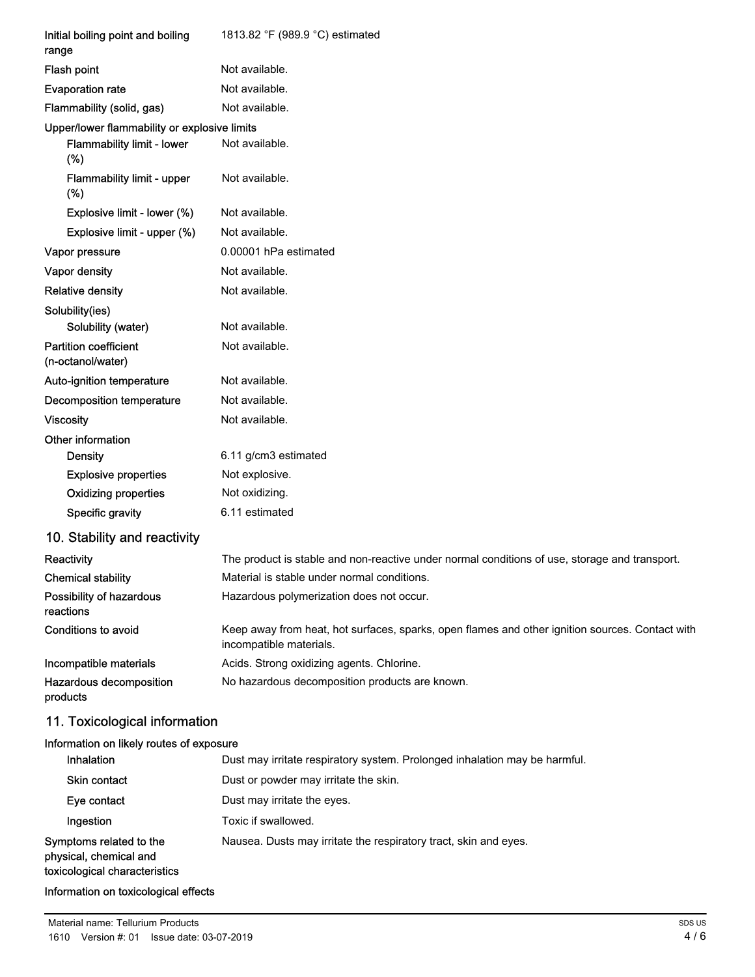| Initial boiling point and boiling<br>range        | 1813.82 °F (989.9 °C) estimated                                                                                            |
|---------------------------------------------------|----------------------------------------------------------------------------------------------------------------------------|
| Flash point                                       | Not available.                                                                                                             |
| <b>Evaporation rate</b>                           | Not available.                                                                                                             |
| Flammability (solid, gas)                         | Not available.                                                                                                             |
| Upper/lower flammability or explosive limits      |                                                                                                                            |
| Flammability limit - lower<br>(%)                 | Not available.                                                                                                             |
| Flammability limit - upper<br>(%)                 | Not available.                                                                                                             |
| Explosive limit - lower (%)                       | Not available.                                                                                                             |
| Explosive limit - upper (%)                       | Not available.                                                                                                             |
| Vapor pressure                                    | 0.00001 hPa estimated                                                                                                      |
| Vapor density                                     | Not available.                                                                                                             |
| <b>Relative density</b>                           | Not available.                                                                                                             |
| Solubility(ies)<br>Solubility (water)             | Not available.                                                                                                             |
| <b>Partition coefficient</b><br>(n-octanol/water) | Not available.                                                                                                             |
| Auto-ignition temperature                         | Not available.                                                                                                             |
| Decomposition temperature                         | Not available.                                                                                                             |
| <b>Viscosity</b>                                  | Not available.                                                                                                             |
| Other information                                 |                                                                                                                            |
| <b>Density</b>                                    | 6.11 g/cm3 estimated                                                                                                       |
| <b>Explosive properties</b>                       | Not explosive.                                                                                                             |
| <b>Oxidizing properties</b>                       | Not oxidizing.                                                                                                             |
| Specific gravity                                  | 6.11 estimated                                                                                                             |
| 10. Stability and reactivity                      |                                                                                                                            |
| Reactivity                                        | The product is stable and non-reactive under normal conditions of use, storage and transport.                              |
| <b>Chemical stability</b>                         | Material is stable under normal conditions.                                                                                |
| Possibility of hazardous<br>reactions             | Hazardous polymerization does not occur.                                                                                   |
| Conditions to avoid                               | Keep away from heat, hot surfaces, sparks, open flames and other ignition sources. Contact with<br>incompatible materials. |
| Incompatible materials                            | Acids. Strong oxidizing agents. Chlorine.                                                                                  |
| Hazardous decomposition<br>products               | No hazardous decomposition products are known.                                                                             |
| 11. Toxicological information                     |                                                                                                                            |
| Information on likely routes of exposure          |                                                                                                                            |
| Inhalation                                        | Dust may irritate respiratory system. Prolonged inhalation may be harmful.                                                 |
| Skin contact                                      | Dust or powder may irritate the skin.                                                                                      |
| Eye contact                                       | Dust may irritate the eyes.                                                                                                |
| Ingestion                                         | Toxic if swallowed.                                                                                                        |

Nausea. Dusts may irritate the respiratory tract, skin and eyes.

Symptoms related to the physical, chemical and toxicological characteristics

Information on toxicological effects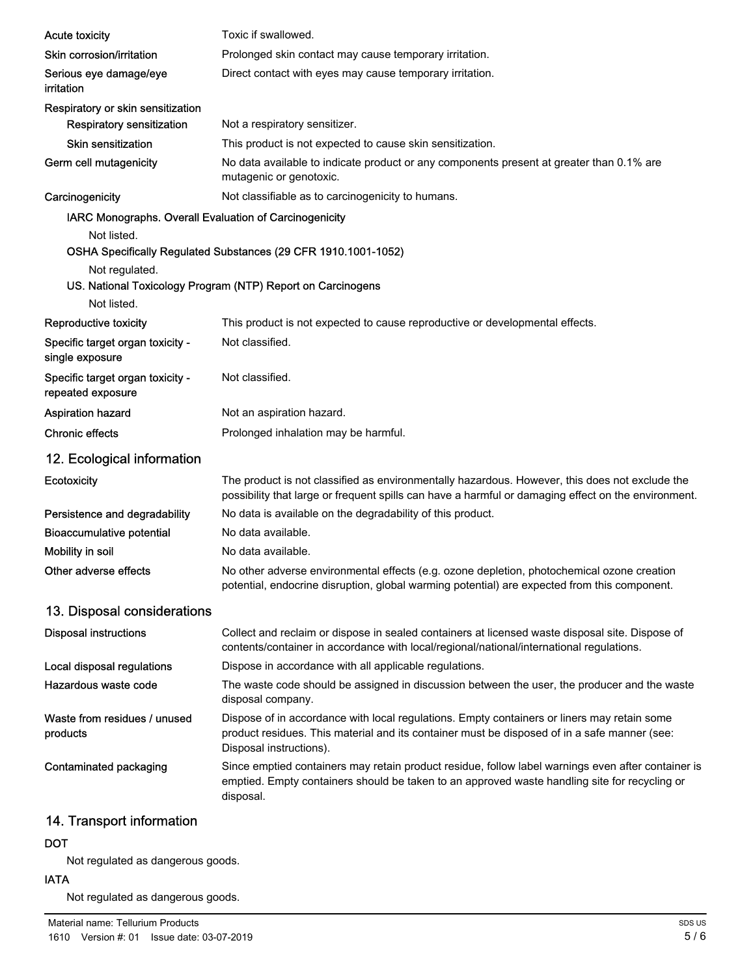| <b>Acute toxicity</b>                                  | Toxic if swallowed.                                                                                                                                                                                                    |
|--------------------------------------------------------|------------------------------------------------------------------------------------------------------------------------------------------------------------------------------------------------------------------------|
| Skin corrosion/irritation                              | Prolonged skin contact may cause temporary irritation.                                                                                                                                                                 |
| Serious eye damage/eye<br>irritation                   | Direct contact with eyes may cause temporary irritation.                                                                                                                                                               |
| Respiratory or skin sensitization                      |                                                                                                                                                                                                                        |
| <b>Respiratory sensitization</b>                       | Not a respiratory sensitizer.                                                                                                                                                                                          |
| <b>Skin sensitization</b>                              | This product is not expected to cause skin sensitization.                                                                                                                                                              |
| Germ cell mutagenicity                                 | No data available to indicate product or any components present at greater than 0.1% are<br>mutagenic or genotoxic.                                                                                                    |
| Carcinogenicity                                        | Not classifiable as to carcinogenicity to humans.                                                                                                                                                                      |
| IARC Monographs. Overall Evaluation of Carcinogenicity |                                                                                                                                                                                                                        |
| Not listed.                                            | OSHA Specifically Regulated Substances (29 CFR 1910.1001-1052)                                                                                                                                                         |
| Not regulated.                                         | US. National Toxicology Program (NTP) Report on Carcinogens                                                                                                                                                            |
| Not listed.                                            |                                                                                                                                                                                                                        |
| Reproductive toxicity                                  | This product is not expected to cause reproductive or developmental effects.                                                                                                                                           |
| Specific target organ toxicity -<br>single exposure    | Not classified.                                                                                                                                                                                                        |
| Specific target organ toxicity -<br>repeated exposure  | Not classified.                                                                                                                                                                                                        |
| <b>Aspiration hazard</b>                               | Not an aspiration hazard.                                                                                                                                                                                              |
| <b>Chronic effects</b>                                 | Prolonged inhalation may be harmful.                                                                                                                                                                                   |
| 12. Ecological information                             |                                                                                                                                                                                                                        |
| Ecotoxicity                                            | The product is not classified as environmentally hazardous. However, this does not exclude the<br>possibility that large or frequent spills can have a harmful or damaging effect on the environment.                  |
| Persistence and degradability                          | No data is available on the degradability of this product.                                                                                                                                                             |
| <b>Bioaccumulative potential</b>                       | No data available.                                                                                                                                                                                                     |
| Mobility in soil                                       | No data available.                                                                                                                                                                                                     |
| Other adverse effects                                  | No other adverse environmental effects (e.g. ozone depletion, photochemical ozone creation<br>potential, endocrine disruption, global warming potential) are expected from this component.                             |
| 13. Disposal considerations                            |                                                                                                                                                                                                                        |
| <b>Disposal instructions</b>                           | Collect and reclaim or dispose in sealed containers at licensed waste disposal site. Dispose of<br>contents/container in accordance with local/regional/national/international regulations.                            |
| Local disposal regulations                             | Dispose in accordance with all applicable regulations.                                                                                                                                                                 |
| Hazardous waste code                                   | The waste code should be assigned in discussion between the user, the producer and the waste<br>disposal company.                                                                                                      |
| Waste from residues / unused<br>products               | Dispose of in accordance with local regulations. Empty containers or liners may retain some<br>product residues. This material and its container must be disposed of in a safe manner (see:<br>Disposal instructions). |
| Contaminated packaging                                 | Since emptied containers may retain product residue, follow label warnings even after container is<br>emptied. Empty containers should be taken to an approved waste handling site for recycling or<br>disposal.       |
| 14 Transport information                               |                                                                                                                                                                                                                        |

#### 14. Transport information

# DOT

Not regulated as dangerous goods.

# IATA

Not regulated as dangerous goods.